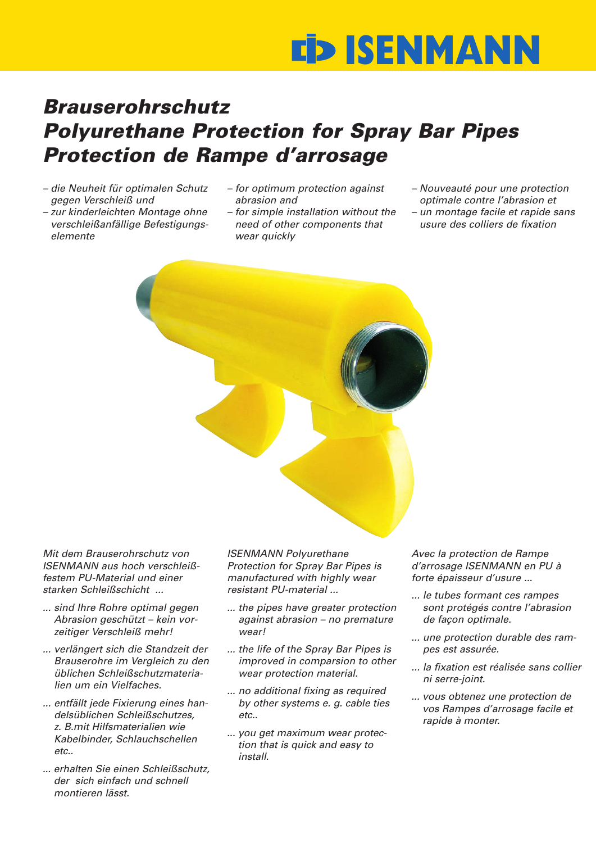## **ISENMANN**

## *Brauserohrschutz Polyurethane Protection for Spray Bar Pipes Protection de Rampe d'arrosage*

- *die Neuheit für optimalen Schutz gegen Verschleiß und*
- *zur kinderleichten Montage ohne verschleißanfällige Befestigungselemente*
- *for optimum protection against abrasion and*
- *for simple installation without the need of other components that wear quickly*
- *Nouveauté pour une protection optimale contre l'abrasion et*
- *un montage facile et rapide sans usure des colliers de fixation*



*Mit dem Brauserohrschutz von ISENMANN aus hoch verschleißfestem PU-Material und einer starken Schleißschicht ...*

- *... sind Ihre Rohre optimal gegen Abrasion geschützt – kein vorzeitiger Verschleiß mehr!*
- *... verlängert sich die Standzeit der Brauserohre im Vergleich zu den üblichen Schleißschutzmaterialien um ein Vielfaches.*
- *... entfällt jede Fixierung eines handelsüblichen Schleißschutzes, z. B.mit Hilfsmaterialien wie Kabelbinder, Schlauchschellen etc..*
- *... erhalten Sie einen Schleißschutz, der sich einfach und schnell montieren lässt.*

*ISENMANN Polyurethane Protection for Spray Bar Pipes is manufactured with highly wear resistant PU-material ...*

- *... the pipes have greater protection against abrasion – no premature wear!*
- *... the life of the Spray Bar Pipes is improved in comparsion to other wear protection material.*
- *... no additional fixing as required by other systems e. g. cable ties etc..*
- *... you get maximum wear protection that is quick and easy to install.*

*Avec la protection de Rampe d'arrosage ISENMANN en PU à forte épaisseur d'usure ...*

- *... le tubes formant ces rampes sont protégés contre l'abrasion de façon optimale.*
- *... une protection durable des rampes est assurée.*
- *... la fixation est réalisée sans collier ni serre-joint.*
- *... vous obtenez une protection de vos Rampes d'arrosage facile et rapide à monter.*